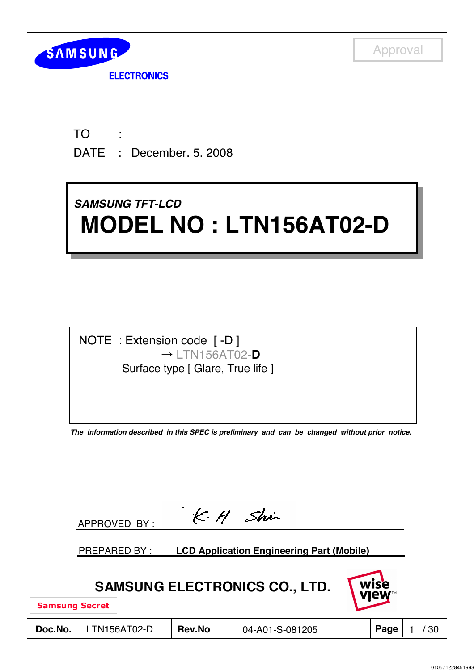| <b>SAMSUNG</b> |  |
|----------------|--|
|                |  |

**ELECTRONICS** 

TO DATE : December. 5. 2008 : 11

# *SAMSUNG TFT-LCD SAMSUNG TFT-LCD* **MODEL NO : LTN156AT02-D MODEL NO : LTN156AT02-D**

NOTE : Extension code [ -D ] ˧ LTN156AT02-**D** Surface type [ Glare, True life ]

*The information described in this SPEC is preliminary and can be changed without prior notice.*

|                                                             |                     | APPROVED BY : |               | K·H·Shir                                         |  |      |      |  |
|-------------------------------------------------------------|---------------------|---------------|---------------|--------------------------------------------------|--|------|------|--|
|                                                             | <b>PREPARED BY:</b> |               |               | <b>LCD Application Engineering Part (Mobile)</b> |  |      |      |  |
| wise<br><b>SAMSUNG ELECTRONICS CO., LTD.</b><br><b>VIEW</b> |                     |               |               |                                                  |  |      |      |  |
| <b>Samsung Secret</b>                                       |                     |               |               |                                                  |  |      |      |  |
| Doc.No.                                                     |                     | LTN156AT02-D  | <b>Rev.No</b> | 04-A01-S-081205                                  |  | Page | ' 30 |  |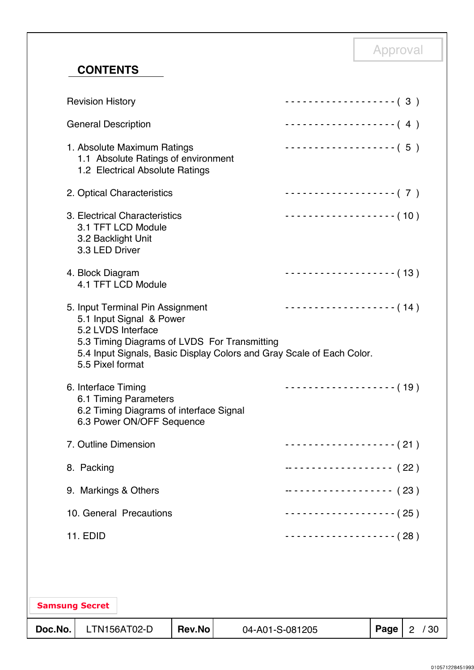## **CONTENTS**

| Doc.No. |                                      | LTN156AT02-D                                                                                          | <b>Rev.No</b> | 04-A01-S-081205                              |                                                                                              | Page | 2 / 30 |
|---------|--------------------------------------|-------------------------------------------------------------------------------------------------------|---------------|----------------------------------------------|----------------------------------------------------------------------------------------------|------|--------|
|         | <b>Samsung Secret</b>                |                                                                                                       |               |                                              |                                                                                              |      |        |
|         |                                      |                                                                                                       |               |                                              |                                                                                              |      |        |
|         | <b>11. EDID</b>                      |                                                                                                       |               |                                              | -------------------- (28)                                                                    |      |        |
|         |                                      | 10. General Precautions                                                                               |               |                                              | - - - - - - - - - - - - - - - - - - ( 25 )                                                   |      |        |
|         | 9. Markings & Others                 |                                                                                                       |               |                                              | ------------------ (23)                                                                      |      |        |
|         | 8. Packing                           |                                                                                                       |               |                                              | ------------------ (22)                                                                      |      |        |
|         | 7. Outline Dimension                 |                                                                                                       |               |                                              | - - - - - - - - - - - - - - - - - - ( 21 )                                                   |      |        |
|         | 6. Interface Timing                  | 6.1 Timing Parameters<br>6.2 Timing Diagrams of interface Signal<br>6.3 Power ON/OFF Sequence         |               |                                              | $------------(19)$                                                                           |      |        |
|         | 5.5 Pixel format                     | 5. Input Terminal Pin Assignment<br>5.1 Input Signal & Power<br>5.2 LVDS Interface                    |               | 5.3 Timing Diagrams of LVDS For Transmitting | $------------(-14)$<br>5.4 Input Signals, Basic Display Colors and Gray Scale of Each Color. |      |        |
|         | 4. Block Diagram                     | 4.1 TFT LCD Module                                                                                    |               |                                              | $------------(13)$                                                                           |      |        |
|         | 3.2 Backlight Unit<br>3.3 LED Driver | 3. Electrical Characteristics<br>3.1 TFT LCD Module                                                   |               |                                              | $\cdots$ (10)                                                                                |      |        |
|         |                                      | 2. Optical Characteristics                                                                            |               |                                              | -------------------- (7)                                                                     |      |        |
|         |                                      | 1. Absolute Maximum Ratings<br>1.1 Absolute Ratings of environment<br>1.2 Electrical Absolute Ratings |               |                                              | -------------------- (5)                                                                     |      |        |
|         | <b>General Description</b>           |                                                                                                       |               |                                              | $\cdots \cdots \cdots \cdots \cdots \cdots \cdots (4)$                                       |      |        |
|         | <b>Revision History</b>              |                                                                                                       |               |                                              | $------------(-3)$                                                                           |      |        |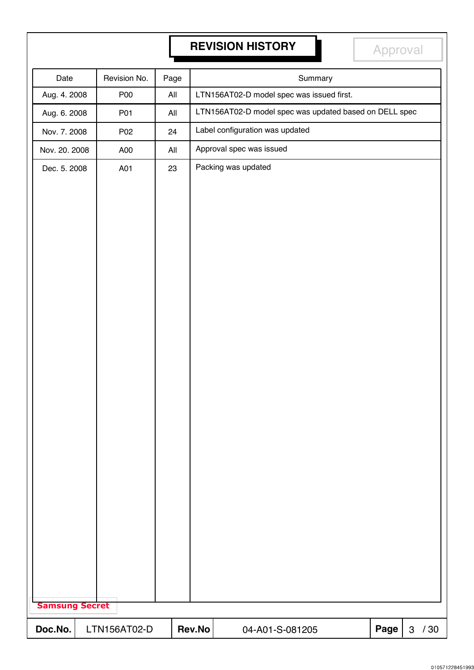## **REVISION HISTORY REVISION HISTORY**

Approval

| Date                  | Revision No. | Page |        | Summary                                                |      |                     |
|-----------------------|--------------|------|--------|--------------------------------------------------------|------|---------------------|
| Aug. 4. 2008          | <b>P00</b>   | All  |        | LTN156AT02-D model spec was issued first.              |      |                     |
| Aug. 6. 2008          | P01          | All  |        | LTN156AT02-D model spec was updated based on DELL spec |      |                     |
| Nov. 7. 2008          | P02          | 24   |        | Label configuration was updated                        |      |                     |
| Nov. 20. 2008         | A00          | All  |        | Approval spec was issued                               |      |                     |
| Dec. 5. 2008          | A01          | 23   |        | Packing was updated                                    |      |                     |
|                       |              |      |        |                                                        |      |                     |
|                       |              |      |        |                                                        |      |                     |
|                       |              |      |        |                                                        |      |                     |
|                       |              |      |        |                                                        |      |                     |
|                       |              |      |        |                                                        |      |                     |
|                       |              |      |        |                                                        |      |                     |
|                       |              |      |        |                                                        |      |                     |
|                       |              |      |        |                                                        |      |                     |
|                       |              |      |        |                                                        |      |                     |
|                       |              |      |        |                                                        |      |                     |
|                       |              |      |        |                                                        |      |                     |
|                       |              |      |        |                                                        |      |                     |
|                       |              |      |        |                                                        |      |                     |
|                       |              |      |        |                                                        |      |                     |
|                       |              |      |        |                                                        |      |                     |
|                       |              |      |        |                                                        |      |                     |
|                       |              |      |        |                                                        |      |                     |
|                       |              |      |        |                                                        |      |                     |
|                       |              |      |        |                                                        |      |                     |
|                       |              |      |        |                                                        |      |                     |
|                       |              |      |        |                                                        |      |                     |
|                       |              |      |        |                                                        |      |                     |
|                       |              |      |        |                                                        |      |                     |
| <b>Samsung Secret</b> |              |      |        |                                                        |      |                     |
|                       |              |      |        |                                                        |      |                     |
| Doc.No.               | LTN156AT02-D |      | Rev.No | 04-A01-S-081205                                        | Page | /30<br>$\mathbf{3}$ |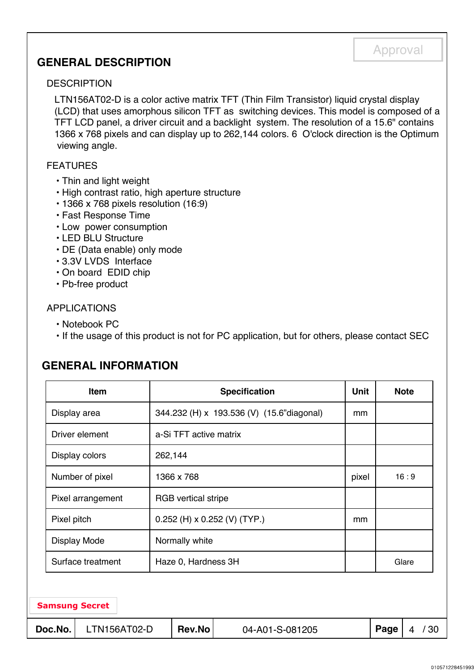## **GENERAL DESCRIPTION**

#### **DESCRIPTION**

LTN156AT02-D is a color active matrix TFT (Thin Film Transistor) liquid crystal display (LCD) that uses amorphous silicon TFT as switching devices. This model is composed of a TFT LCD panel, a driver circuit and a backlight system. The resolution of a 15.6" contains 1366 x 768 pixels and can display up to 262,144 colors. 6 O'clock direction is the Optimum viewing angle.

#### FEATURES

- Thin and light weight
- High contrast ratio, high aperture structure
- 1366 x 768 pixels resolution (16:9)
- Fast Response Time
- Low power consumption
- LED BLU Structure
- DE (Data enable) only mode
- 3.3V LVDS Interface
- On board EDID chip
- Pb-free product

#### APPLICATIONS

- Notebook PC
- If the usage of this product is not for PC application, but for others, please contact SEC

#### **GENERAL INFORMATION**

|                                          | Item                                            |         |                        | <b>Specification</b>                      | <b>Unit</b> |       | <b>Note</b> |     |
|------------------------------------------|-------------------------------------------------|---------|------------------------|-------------------------------------------|-------------|-------|-------------|-----|
| Display area                             |                                                 |         |                        | 344.232 (H) x 193.536 (V) (15.6"diagonal) | mm          |       |             |     |
|                                          | Driver element                                  |         | a-Si TFT active matrix |                                           |             |       |             |     |
|                                          | Display colors                                  | 262,144 |                        |                                           |             |       |             |     |
|                                          | Number of pixel                                 |         | 1366 x 768             | pixel                                     |             | 16:9  |             |     |
|                                          | Pixel arrangement<br><b>RGB</b> vertical stripe |         |                        |                                           |             |       |             |     |
|                                          | Pixel pitch<br>$0.252$ (H) x 0.252 (V) (TYP.)   |         |                        |                                           |             |       |             |     |
|                                          | <b>Display Mode</b>                             |         | Normally white         |                                           |             |       |             |     |
| Surface treatment<br>Haze 0, Hardness 3H |                                                 |         |                        |                                           |             | Glare |             |     |
|                                          |                                                 |         |                        |                                           |             |       |             |     |
|                                          | <b>Samsung Secret</b>                           |         |                        |                                           |             |       |             |     |
| Doc.No.                                  | LTN156AT02-D                                    |         | <b>Rev.No</b>          | 04-A01-S-081205                           |             | Page  | 4           | /30 |

## Approval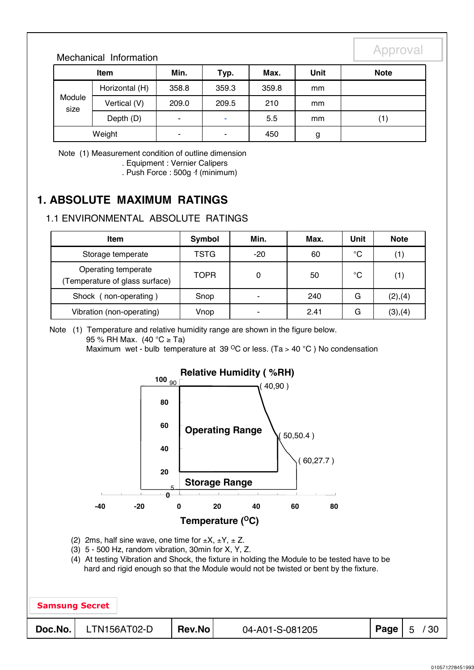#### Mechanical Information

| <b>Item</b>    |                | Min.                     | Typ.  | Max.  | <b>Unit</b> | <b>Note</b> |
|----------------|----------------|--------------------------|-------|-------|-------------|-------------|
|                | Horizontal (H) | 358.8                    | 359.3 | 359.8 | mm          |             |
| Module<br>size | Vertical (V)   | 209.0                    | 209.5 | 210   | mm          |             |
|                | Depth (D)      | $\overline{\phantom{0}}$ | ۰     | 5.5   | mm          | (1)         |
|                | Weight         | ۰                        | ۰     | 450   | g           |             |

Note (1) Measurement condition of outline dimension . Equipment : Vernier Calipers

. Push Force : 500g ⋅f (minimum)

## **1. ABSOLUTE MAXIMUM RATINGS**

#### 1.1 ENVIRONMENTAL ABSOLUTE RATINGS

| Item                                                 | Min.<br>Symbol |                          | Max. | Unit        | <b>Note</b> |
|------------------------------------------------------|----------------|--------------------------|------|-------------|-------------|
| Storage temperate                                    | <b>TSTG</b>    | -20                      | 60   | $^{\circ}C$ |             |
| Operating temperate<br>Temperature of glass surface) | <b>TOPR</b>    | 0                        | 50   | °C          | (1)         |
| Shock (non-operating)                                | Snop           | ٠                        | 240  | G           | (2), (4)    |
| Vibration (non-operating)                            | Vnop           | $\overline{\phantom{0}}$ | 2.41 | G           | (3), (4)    |

Note (1) Temperature and relative humidity range are shown in the figure below.

95 % RH Max. (40 °C ≥ Ta)

Maximum wet - bulb temperature at 39  $^{\circ}$ C or less. (Ta > 40  $^{\circ}$ C) No condensation

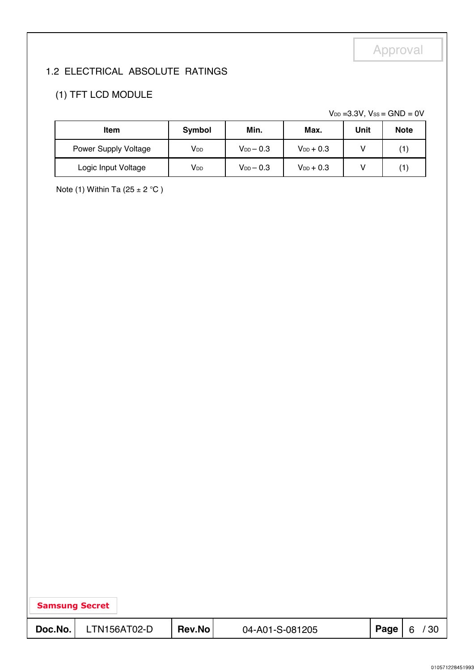## 1.2 ELECTRICAL ABSOLUTE RATINGS

## (1) TFT LCD MODULE

 $V_{DD}$  =3.3V,  $V_{SS}$  = GND = 0V

| <b>Item</b>          | Symbol                 | Min.             |                | Unit | <b>Note</b> |
|----------------------|------------------------|------------------|----------------|------|-------------|
| Power Supply Voltage | <b>V</b> <sub>DD</sub> | $V_{DD}$ $-$ 0.3 | $V_{DD}$ + 0.3 |      | (1)         |
| Logic Input Voltage  | V <sub>DD</sub>        | $V_{DD}$ $-$ 0.3 | $V_{DD}$ + 0.3 |      | 1∫          |

Note (1) Within Ta (25  $\pm$  2 °C)

| <b>Samsung Secret</b> |              |        |                 |      |           |
|-----------------------|--------------|--------|-----------------|------|-----------|
| Doc.No.               | LTN156AT02-D | Rev.No | 04-A01-S-081205 | Page | / 30<br>6 |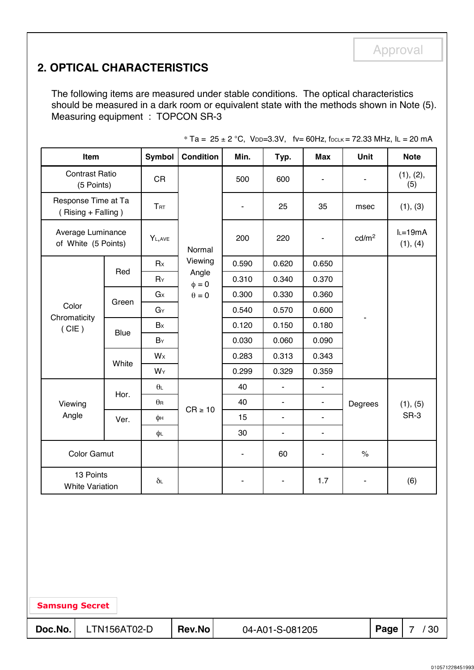## **2. OPTICAL CHARACTERISTICS**

The following items are measured under stable conditions. The optical characteristics should be measured in a dark room or equivalent state with the methods shown in Note (5). Measuring equipment : TOPCON SR-3

| Item                                      |             | <b>Symbol</b>    | <b>Condition</b>    | Min.                     | Typ.                     | <b>Max</b>               | Unit              | <b>Note</b>            |
|-------------------------------------------|-------------|------------------|---------------------|--------------------------|--------------------------|--------------------------|-------------------|------------------------|
| <b>Contrast Ratio</b><br>(5 Points)       |             | <b>CR</b>        |                     | 500                      | 600                      | ۰                        |                   | (1), (2),<br>(5)       |
| Response Time at Ta<br>(Rising + Falling) |             | <b>TRT</b>       |                     | $\overline{\phantom{a}}$ | 25                       | 35                       | msec              | (1), (3)               |
| Average Luminance<br>of White (5 Points)  |             | YL, AVE          | Normal              | 200                      | 220                      | $\blacksquare$           | cd/m <sup>2</sup> | $l = 19mA$<br>(1), (4) |
|                                           |             | Rx               | Viewing             | 0.590                    | 0.620                    | 0.650                    |                   |                        |
|                                           | Red         | $R_Y$            | Angle<br>$\phi = 0$ | 0.310                    | 0.340                    | 0.370                    |                   |                        |
|                                           |             | $G \times$       | $\theta = 0$        | 0.300                    | 0.330                    | 0.360                    |                   |                        |
| Color                                     | Green       | GY               |                     | 0.540                    | 0.570                    | 0.600                    |                   |                        |
| Chromaticity<br>(CIE)                     | <b>Blue</b> | Bx               |                     | 0.120                    | 0.150                    | 0.180                    |                   |                        |
|                                           |             | BY               |                     | 0.030                    | 0.060                    | 0.090                    |                   |                        |
|                                           | White       | $W$ x            |                     | 0.283                    | 0.313                    | 0.343                    |                   |                        |
|                                           |             | WY               |                     | 0.299                    | 0.329                    | 0.359                    |                   |                        |
|                                           | Hor.        | $\theta$         |                     | 40                       | $\blacksquare$           | ä,                       | Degrees           |                        |
| Viewing                                   |             | $\theta$ R       | $CR \ge 10$         | 40                       | $\overline{\phantom{0}}$ | $\blacksquare$           |                   | (1), (5)               |
| Angle                                     | Ver.        | φн               |                     | 15                       | $\blacksquare$           | $\overline{\phantom{a}}$ |                   | SR-3                   |
|                                           |             | φL               |                     | 30                       | $\blacksquare$           | $\blacksquare$           |                   |                        |
| <b>Color Gamut</b>                        |             |                  |                     | $\blacksquare$           | 60                       | $\overline{\phantom{a}}$ | $\%$              |                        |
| 13 Points<br><b>White Variation</b>       |             | $\delta\text{L}$ |                     |                          | ۰                        | 1.7                      | ۰                 | (6)                    |

 $*$  Ta = 25 ± 2 °C, VDD=3.3V, fv= 60Hz, fDCLK = 72.33 MHz, lL = 20 mA

Samsung Secret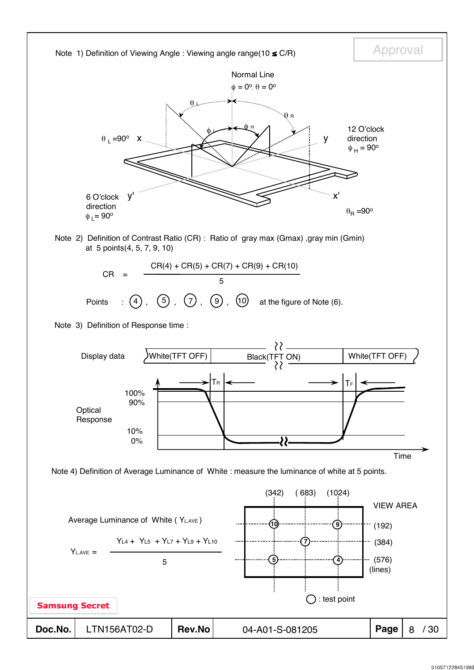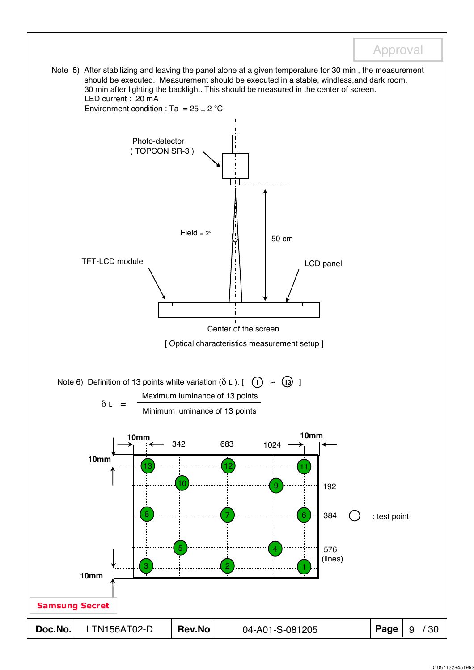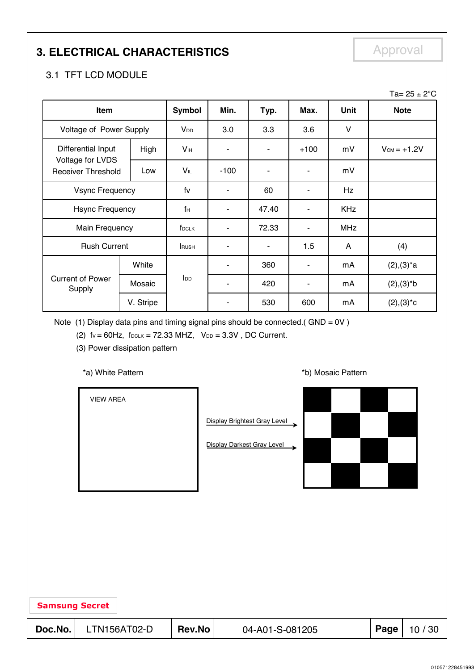## **3. ELECTRICAL CHARACTERISTICS**

Approval

### 3.1 TFT LCD MODULE

|                                                                     |                         |                   |        |                |                |            | Ta= $25 \pm 2^{\circ}$ C |
|---------------------------------------------------------------------|-------------------------|-------------------|--------|----------------|----------------|------------|--------------------------|
| Item                                                                |                         | <b>Symbol</b>     | Min.   | Typ.           | Max.           | Unit       | <b>Note</b>              |
|                                                                     | Voltage of Power Supply |                   | 3.0    | 3.3            | 3.6            | V          |                          |
| Differential Input<br>Voltage for LVDS<br><b>Receiver Threshold</b> | High                    | Vн                | ۰      | ۰              | $+100$         | mV         | $V_{CM} = +1.2V$         |
|                                                                     | Low                     | VĩL               | $-100$ |                | $\blacksquare$ | mV         |                          |
| <b>Vsync Frequency</b>                                              |                         | fv                | ۰      | 60             | $\blacksquare$ | Hz         |                          |
|                                                                     | <b>Hsync Frequency</b>  |                   |        | 47.40          | ۰              | <b>KHz</b> |                          |
| Main Frequency                                                      |                         | f <sub>DCLK</sub> |        | 72.33          | ٠              | <b>MHz</b> |                          |
| <b>Rush Current</b>                                                 |                         | <b>RUSH</b>       |        | $\blacksquare$ | 1.5            | A          | (4)                      |
|                                                                     | White                   |                   | ٠      | 360            | $\blacksquare$ | mA         | $(2), (3)^*a$            |
| <b>Current of Power</b><br>Supply                                   | Mosaic                  | $I_{DD}$          | ۰      | 420            | ٠              | mA         | $(2), (3)*b$             |
|                                                                     | V. Stripe               |                   |        | 530            | 600            | mA         | $(2), (3)^*c$            |

Note (1) Display data pins and timing signal pins should be connected.(  $GND = OV$  )

(2)  $fv = 60Hz$ ,  $f_{DCLK} = 72.33 MHz$ ,  $V_{DD} = 3.3V$ , DC Current.

(3) Power dissipation pattern

#### \*a) White Pattern **\*b**) Mosaic Pattern **\*b**)

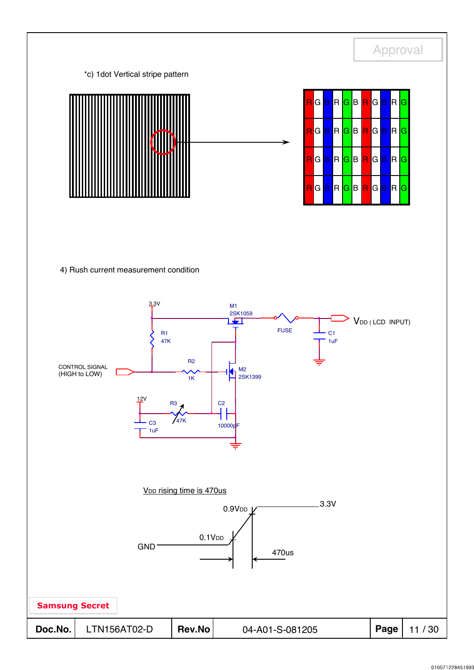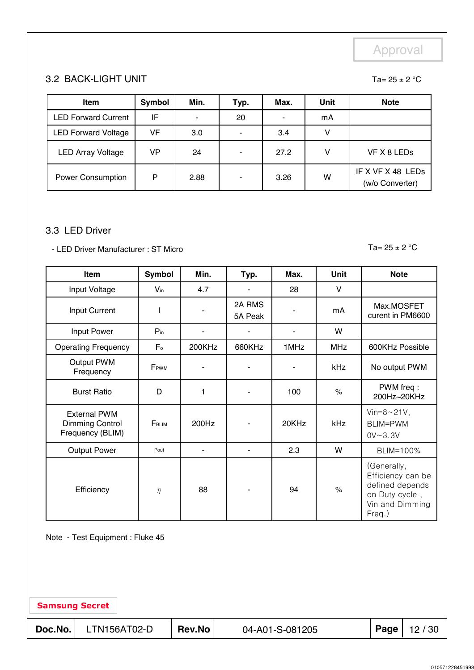Ta=  $25 \pm 2$  °C

#### 3.2 BACK-LIGHT UNIT

| <b>Item</b>                | Symbol | Min.                     | Typ.                     | Max. | <b>Unit</b> | <b>Note</b>                          |
|----------------------------|--------|--------------------------|--------------------------|------|-------------|--------------------------------------|
| <b>LED Forward Current</b> | IF     | $\overline{\phantom{0}}$ | 20                       |      | mA          |                                      |
| <b>LED Forward Voltage</b> | VF     | 3.0                      | $\overline{\phantom{0}}$ | 3.4  | v           |                                      |
| <b>LED Array Voltage</b>   | VP     | 24                       | ٠                        | 27.2 | v           | VF X 8 LEDs                          |
| <b>Power Consumption</b>   | P      | 2.88                     | $\overline{\phantom{0}}$ | 3.26 | W           | IF X VF X 48 LEDS<br>(w/o Converter) |

#### 3.3 LED Driver

- LED Driver Manufacturer : ST Micro Table 100 and Table 10 and Table 25 ± 2 °C

| Item                                                       | <b>Symbol</b>   | Min.   | Typ.              | Max.  | <b>Unit</b>   | <b>Note</b>                                                                                        |  |
|------------------------------------------------------------|-----------------|--------|-------------------|-------|---------------|----------------------------------------------------------------------------------------------------|--|
| Input Voltage                                              | $V_{\text{in}}$ | 4.7    | ٠                 | 28    | V             |                                                                                                    |  |
| Input Current                                              |                 |        | 2A RMS<br>5A Peak |       | mA            | Max.MOSFET<br>curent in PM6600                                                                     |  |
| Input Power                                                | $P_{in}$        | ٠      |                   |       | W             |                                                                                                    |  |
| <b>Operating Frequency</b>                                 | F <sub>o</sub>  | 200KHz | 660KHz            | 1MHz  | <b>MHz</b>    | 600KHz Possible                                                                                    |  |
| Output PWM<br>Frequency                                    | FPWM            |        |                   |       | <b>kHz</b>    | No output PWM                                                                                      |  |
| <b>Burst Ratio</b>                                         | D               | 1      |                   | 100   | $\%$          | PWM freq:<br>200Hz~20KHz                                                                           |  |
| <b>External PWM</b><br>Dimming Control<br>Frequency (BLIM) | FBLIM           | 200Hz  |                   | 20KHz | kHz           | Vin= $8 \sim 21V$ ,<br>BLIM=PWM<br>$0V - 3.3V$                                                     |  |
| <b>Output Power</b>                                        | Pout            | ٠      |                   | 2.3   | W             | BLIM=100%                                                                                          |  |
| Efficiency                                                 | $\eta$          | 88     |                   | 94    | $\frac{1}{2}$ | (Generally,<br>Efficiency can be<br>defined depends<br>on Duty cycle,<br>Vin and Dimming<br>Freq.) |  |

Note - Test Equipment : Fluke 45

Samsung Secret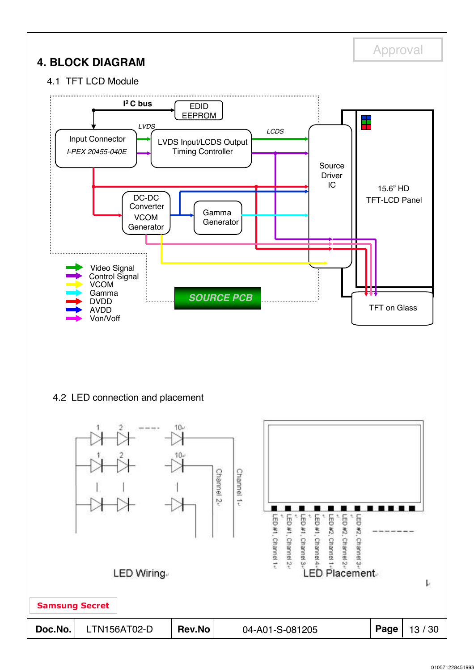

Samsung Secret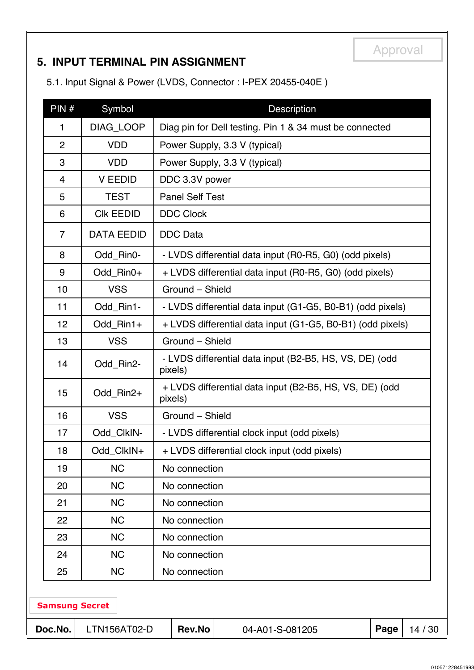## **5. INPUT TERMINAL PIN ASSIGNMENT**

5.1. Input Signal & Power (LVDS, Connector : I-PEX 20455-040E )

| PIN#                                                                          | Symbol            |                                                                    | <b>Description</b>                                         |  |  |  |  |  |  |
|-------------------------------------------------------------------------------|-------------------|--------------------------------------------------------------------|------------------------------------------------------------|--|--|--|--|--|--|
| $\mathbf{1}$                                                                  | DIAG_LOOP         |                                                                    | Diag pin for Dell testing. Pin 1 & 34 must be connected    |  |  |  |  |  |  |
| $\overline{2}$                                                                | <b>VDD</b>        |                                                                    | Power Supply, 3.3 V (typical)                              |  |  |  |  |  |  |
| 3                                                                             | <b>VDD</b>        |                                                                    | Power Supply, 3.3 V (typical)                              |  |  |  |  |  |  |
| 4                                                                             | <b>V EEDID</b>    |                                                                    | DDC 3.3V power                                             |  |  |  |  |  |  |
| 5                                                                             | <b>TEST</b>       |                                                                    | <b>Panel Self Test</b>                                     |  |  |  |  |  |  |
| 6                                                                             | <b>CIK EEDID</b>  | <b>DDC Clock</b>                                                   |                                                            |  |  |  |  |  |  |
| $\overline{7}$                                                                | <b>DATA EEDID</b> | <b>DDC</b> Data                                                    |                                                            |  |  |  |  |  |  |
| 8                                                                             | Odd_Rin0-         |                                                                    | - LVDS differential data input (R0-R5, G0) (odd pixels)    |  |  |  |  |  |  |
| 9                                                                             | Odd_Rin0+         |                                                                    | + LVDS differential data input (R0-R5, G0) (odd pixels)    |  |  |  |  |  |  |
| 10                                                                            | <b>VSS</b>        | Ground - Shield                                                    |                                                            |  |  |  |  |  |  |
| 11                                                                            | Odd_Rin1-         |                                                                    | - LVDS differential data input (G1-G5, B0-B1) (odd pixels) |  |  |  |  |  |  |
| 12                                                                            | Odd Rin1+         | + LVDS differential data input (G1-G5, B0-B1) (odd pixels)         |                                                            |  |  |  |  |  |  |
| 13                                                                            | <b>VSS</b>        | Ground - Shield                                                    |                                                            |  |  |  |  |  |  |
| 14                                                                            | Odd_Rin2-         | - LVDS differential data input (B2-B5, HS, VS, DE) (odd<br>pixels) |                                                            |  |  |  |  |  |  |
| 15                                                                            | Odd_Rin2+         | + LVDS differential data input (B2-B5, HS, VS, DE) (odd<br>pixels) |                                                            |  |  |  |  |  |  |
| 16                                                                            | <b>VSS</b>        | Ground - Shield                                                    |                                                            |  |  |  |  |  |  |
| 17                                                                            | Odd_ClkIN-        |                                                                    | - LVDS differential clock input (odd pixels)               |  |  |  |  |  |  |
| 18                                                                            | Odd_ClkIN+        |                                                                    | + LVDS differential clock input (odd pixels)               |  |  |  |  |  |  |
| 19                                                                            | <b>NC</b>         | No connection                                                      |                                                            |  |  |  |  |  |  |
| 20                                                                            | <b>NC</b>         | No connection                                                      |                                                            |  |  |  |  |  |  |
| 21                                                                            | <b>NC</b>         | No connection                                                      |                                                            |  |  |  |  |  |  |
| 22                                                                            | <b>NC</b>         | No connection                                                      |                                                            |  |  |  |  |  |  |
| 23                                                                            | <b>NC</b>         | No connection                                                      |                                                            |  |  |  |  |  |  |
| 24                                                                            | <b>NC</b>         | No connection                                                      |                                                            |  |  |  |  |  |  |
| 25                                                                            | <b>NC</b>         | No connection                                                      |                                                            |  |  |  |  |  |  |
| <b>Samsung Secret</b><br>Rev.No<br>Doc.No.<br>LTN156AT02-D<br>Page<br>14 / 30 |                   |                                                                    |                                                            |  |  |  |  |  |  |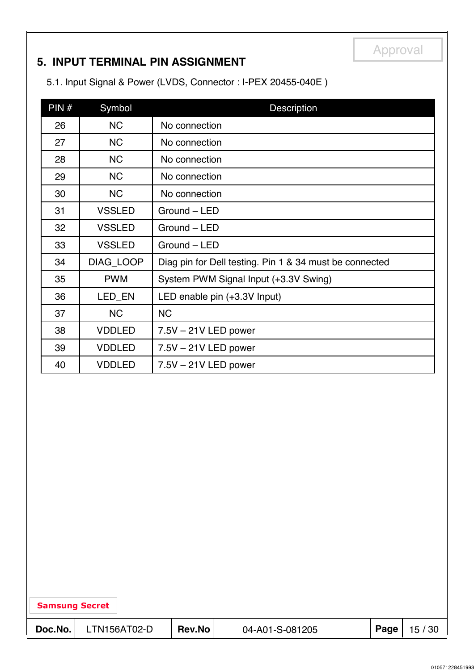## **5. INPUT TERMINAL PIN ASSIGNMENT**

5.1. Input Signal & Power (LVDS, Connector : I-PEX 20455-040E )

| PIN# | Symbol        | Description                                             |
|------|---------------|---------------------------------------------------------|
| 26   | <b>NC</b>     | No connection                                           |
| 27   | <b>NC</b>     | No connection                                           |
| 28   | <b>NC</b>     | No connection                                           |
| 29   | <b>NC</b>     | No connection                                           |
| 30   | <b>NC</b>     | No connection                                           |
| 31   | <b>VSSLED</b> | Ground - LED                                            |
| 32   | <b>VSSLED</b> | Ground - LED                                            |
| 33   | <b>VSSLED</b> | Ground - LED                                            |
| 34   | DIAG_LOOP     | Diag pin for Dell testing. Pin 1 & 34 must be connected |
| 35   | <b>PWM</b>    | System PWM Signal Input (+3.3V Swing)                   |
| 36   | LED_EN        | LED enable pin (+3.3V Input)                            |
| 37   | <b>NC</b>     | <b>NC</b>                                               |
| 38   | <b>VDDLED</b> | $7.5V - 21V$ LED power                                  |
| 39   | <b>VDDLED</b> | $7.5V - 21V$ LED power                                  |
| 40   | <b>VDDLED</b> | $7.5V - 21V$ LED power                                  |

| <b>Samsung Secret</b> |  |
|-----------------------|--|
|-----------------------|--|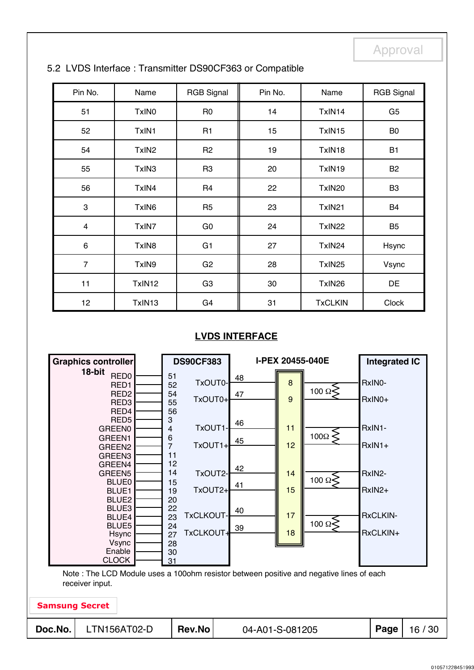| Pin No.                 | Name              | <b>RGB Signal</b> | Pin No. | Name           | <b>RGB Signal</b> |
|-------------------------|-------------------|-------------------|---------|----------------|-------------------|
| 51                      | TxIN <sub>0</sub> | R <sub>0</sub>    | 14      | TxIN14         | G <sub>5</sub>    |
| 52                      | TxIN1             | R <sub>1</sub>    | 15      | TxIN15         | B <sub>0</sub>    |
| 54                      | TxIN <sub>2</sub> | R <sub>2</sub>    | 19      | TxIN18         | <b>B1</b>         |
| 55                      | TxIN3             | R <sub>3</sub>    | 20      | TxIN19         | B <sub>2</sub>    |
| 56                      | TxIN4             | R <sub>4</sub>    | 22      | TxIN20         | B <sub>3</sub>    |
| 3                       | TxIN <sub>6</sub> | R <sub>5</sub>    | 23      | TxIN21         | B4                |
| $\overline{\mathbf{4}}$ | TxIN7             | G <sub>0</sub>    | 24      | TxIN22         | B <sub>5</sub>    |
| 6                       | TxIN8             | G <sub>1</sub>    | 27      | TxIN24         | Hsync             |
| $\overline{7}$          | TxIN9             | G <sub>2</sub>    | 28      | TxIN25         | Vsync             |
| 11                      | TxIN12            | G <sub>3</sub>    | 30      | TxIN26         | DE                |
| 12 <sub>2</sub>         | TxIN13            | G <sub>4</sub>    | 31      | <b>TxCLKIN</b> | Clock             |

#### 5.2 LVDS Interface : Transmitter DS90CF363 or Compatible

#### **LVDS INTERFACE**

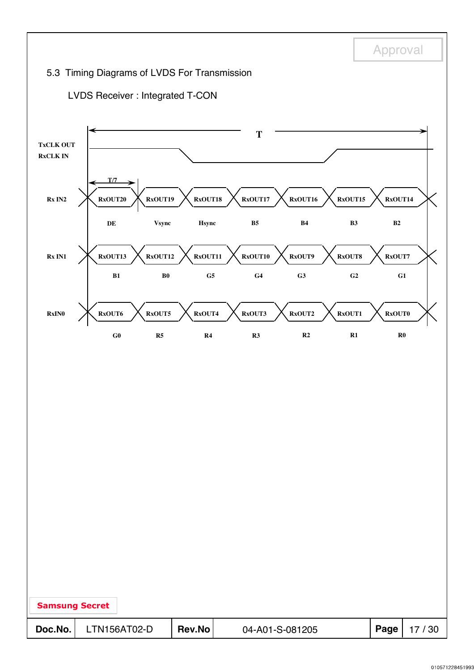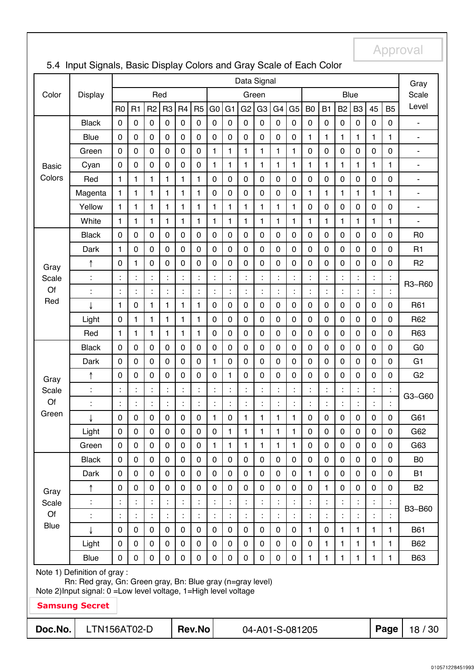|                                                                                                                                   |                       | Data Signal      |                  |                  |                |                  |                      |                |                      | Gray           |                |                |                |                 |              |              |                |              |             |                              |
|-----------------------------------------------------------------------------------------------------------------------------------|-----------------------|------------------|------------------|------------------|----------------|------------------|----------------------|----------------|----------------------|----------------|----------------|----------------|----------------|-----------------|--------------|--------------|----------------|--------------|-------------|------------------------------|
| Color                                                                                                                             | Display               |                  |                  | Red              |                |                  |                      |                |                      |                | Green          |                |                |                 |              |              | <b>Blue</b>    |              |             | Scale                        |
|                                                                                                                                   |                       | R <sub>0</sub>   | R <sub>1</sub>   | R <sub>2</sub>   | R <sub>3</sub> | R <sub>4</sub>   | R <sub>5</sub>       | G <sub>0</sub> | G <sub>1</sub>       | G <sub>2</sub> | G <sub>3</sub> | G <sub>4</sub> | G <sub>5</sub> | B <sub>0</sub>  | <b>B1</b>    | <b>B2</b>    | B <sub>3</sub> | 45           | <b>B5</b>   | Level                        |
|                                                                                                                                   | <b>Black</b>          | $\boldsymbol{0}$ | $\mathbf 0$      | $\pmb{0}$        | $\pmb{0}$      | $\pmb{0}$        | $\mathbf 0$          | $\mathbf 0$    | $\pmb{0}$            | 0              | $\pmb{0}$      | $\mathbf 0$    | 0              | 0               | $\pmb{0}$    | $\pmb{0}$    | $\pmb{0}$      | 0            | $\mathbf 0$ | ÷,                           |
|                                                                                                                                   | <b>Blue</b>           | $\boldsymbol{0}$ | $\mathbf 0$      | $\mathbf 0$      | $\mathbf 0$    | $\boldsymbol{0}$ | 0                    | 0              | $\mathbf 0$          | $\mathbf 0$    | 0              | $\mathbf 0$    | 0              | $\mathbf{1}$    | $\mathbf{1}$ | $\mathbf{1}$ | $\mathbf{1}$   | $\mathbf{1}$ | 1           | ÷,                           |
|                                                                                                                                   | Green                 | $\mathbf 0$      | $\mathbf 0$      | $\mathbf 0$      | $\mathbf 0$    | $\mathbf 0$      | $\mathbf 0$          | $\mathbf{1}$   | $\mathbf{1}$         | $\mathbf{1}$   | $\mathbf{1}$   | $\mathbf{1}$   | $\mathbf{1}$   | $\mathbf 0$     | $\pmb{0}$    | $\mathbf 0$  | $\overline{0}$ | 0            | 0           | $\blacksquare$               |
| <b>Basic</b>                                                                                                                      | Cyan                  | $\mathbf 0$      | 0                | 0                | $\mathbf 0$    | 0                | $\mathbf 0$          | $\mathbf{1}$   | $\mathbf{1}$         | 1              | $\mathbf{1}$   | $\mathbf{1}$   | $\mathbf{1}$   | 1               | 1            | $\mathbf{1}$ | 1              | $\mathbf{1}$ | 1           | $\qquad \qquad \blacksquare$ |
| Colors                                                                                                                            | Red                   | 1                | 1                | 1                | 1              | 1                | 1                    | $\mathbf 0$    | $\mathbf 0$          | $\mathbf 0$    | $\mathbf 0$    | $\mathbf 0$    | 0              | $\mathbf 0$     | 0            | $\mathbf 0$  | $\mathbf 0$    | 0            | $\mathbf 0$ | $\blacksquare$               |
|                                                                                                                                   | Magenta               | $\mathbf{1}$     | $\mathbf{1}$     | 1                | 1              | 1                | 1                    | $\mathbf 0$    | $\mathbf 0$          | 0              | $\mathbf 0$    | $\mathbf 0$    | 0              | $\mathbf{1}$    | 1            | $\mathbf{1}$ | 1              | 1            | 1           | $\blacksquare$               |
|                                                                                                                                   | Yellow                | $\mathbf{1}$     | $\mathbf{1}$     | 1                | 1              | 1                | 1                    | $\mathbf{1}$   | $\mathbf{1}$         | 1              | $\mathbf{1}$   | $\mathbf{1}$   | $\mathbf{1}$   | 0               | 0            | 0            | $\mathbf 0$    | 0            | $\mathbf 0$ | $\blacksquare$               |
|                                                                                                                                   | White                 | 1                | 1                | 1                | $\mathbf{1}$   | 1                | 1                    | 1              | 1                    | 1              | 1              | 1              | $\mathbf{1}$   | 1               | 1            | 1            | 1              | 1            | 1           | $\qquad \qquad \blacksquare$ |
|                                                                                                                                   | <b>Black</b>          | $\boldsymbol{0}$ | 0                | 0                | 0              | 0                | $\mathbf 0$          | $\pmb{0}$      | $\mathbf 0$          | 0              | $\mathbf 0$    | $\mathbf 0$    | 0              | 0               | 0            | 0            | $\mathbf 0$    | 0            | 0           | R <sub>0</sub>               |
|                                                                                                                                   | Dark                  | 1                | 0                | 0                | 0              | 0                | 0                    | 0              | $\mathbf 0$          | 0              | $\mathbf 0$    | $\mathbf 0$    | 0              | 0               | 0            | $\pmb{0}$    | $\mathbf 0$    | 0            | $\mathbf 0$ | R1                           |
| Gray                                                                                                                              | ↑                     | $\boldsymbol{0}$ | $\mathbf{1}$     | 0                | 0              | 0                | 0                    | 0              | 0                    | $\mathbf 0$    | 0              | $\mathbf 0$    | 0              | 0               | 0            | $\mathbf 0$  | 0              | 0            | 0           | R <sub>2</sub>               |
| Scale                                                                                                                             |                       | $\ddot{\cdot}$   | $\ddot{\cdot}$   | Ì.               |                |                  |                      |                | Ì                    | $\vdots$       | Ì,             | Ì.             |                |                 |              |              |                |              |             | R3~R60                       |
| Of                                                                                                                                | $\ddot{\cdot}$        | $\ddot{\cdot}$   | $\ddot{\cdot}$   | ÷.               | ÷              |                  |                      |                | Ì                    | $\ddot{\cdot}$ | ÷.             | ÷              | ÷              | t               | t            |              |                | İ            | ċ           |                              |
| Red                                                                                                                               |                       | $\mathbf{1}$     | $\boldsymbol{0}$ | 1                | 1              | 1                | 1                    | $\mathbf 0$    | $\mathbf 0$          | $\mathbf 0$    | $\mathbf 0$    | $\mathbf 0$    | 0              | $\mathbf 0$     | 0            | 0            | $\mathbf 0$    | 0            | 0           | R61                          |
|                                                                                                                                   | Light                 | $\mathbf 0$      | $\mathbf{1}$     | 1                | 1              | 1                | 1                    | $\mathbf 0$    | $\mathbf 0$          | $\mathbf 0$    | $\mathbf 0$    | $\mathbf 0$    | 0              | 0               | 0            | $\mathbf 0$  | $\overline{0}$ | 0            | $\mathbf 0$ | R62                          |
|                                                                                                                                   | Red                   | 1                | $\mathbf{1}$     | 1                | 1              | 1                | 1                    | $\mathbf 0$    | $\mathbf 0$          | 0              | $\mathbf 0$    | $\mathbf 0$    | 0              | 0               | 0            | $\pmb{0}$    | $\mathbf 0$    | 0            | $\mathbf 0$ | R63                          |
|                                                                                                                                   | <b>Black</b>          | $\boldsymbol{0}$ | $\mathbf 0$      | $\boldsymbol{0}$ | $\mathbf 0$    | $\pmb{0}$        | $\mathbf 0$          | $\mathbf 0$    | $\mathbf 0$          | 0              | $\mathbf 0$    | $\mathbf 0$    | 0              | 0               | $\pmb{0}$    | $\pmb{0}$    | $\mathbf 0$    | 0            | $\mathbf 0$ | G <sub>0</sub>               |
|                                                                                                                                   | Dark                  | $\boldsymbol{0}$ | $\mathbf 0$      | $\boldsymbol{0}$ | $\mathbf 0$    | $\boldsymbol{0}$ | $\mathbf 0$          | 1              | $\mathbf 0$          | $\mathbf 0$    | 0              | $\mathbf 0$    | 0              | $\pmb{0}$       | $\pmb{0}$    | $\pmb{0}$    | $\mathbf 0$    | 0            | 0           | G <sub>1</sub>               |
| Gray                                                                                                                              | ↑                     | $\mathbf 0$      | 0                | 0                | $\mathbf 0$    | $\mathbf 0$      | 0                    | 0              | $\mathbf{1}$         | $\mathbf 0$    | 0              | $\mathbf 0$    | 0              | 0               | $\mathbf 0$  | $\mathbf 0$  | $\overline{0}$ | 0            | $\mathbf 0$ | G <sub>2</sub>               |
| Scale                                                                                                                             | $\ddot{\cdot}$        | Ì                | $\ddot{\cdot}$   | Ì.               | t.             |                  | $\ddot{\phantom{a}}$ |                | $\ddot{\cdot}$       | $\ddot{\cdot}$ | ÷              | Ì.             | ÷              | t               | t            | t            |                | t            |             | G3~G60                       |
| Of                                                                                                                                | $\ddot{\cdot}$        | $\ddot{\cdot}$   | Ì.               | Ì.               | ÷              | t                | t                    | t              | ÷                    | ÷              | Ì.             | ÷              | ř,             | t               | Ì.           | t            | t              | t            | ċ           |                              |
| Green                                                                                                                             | ↓                     | 0                | 0                | 0                | 0              | $\pmb{0}$        | $\pmb{0}$            | 1              | $\pmb{0}$            | 1              | 1              | 1              | 1              | 0               | 0            | 0            | $\mathbf 0$    | 0            | $\mathbf 0$ | G61                          |
|                                                                                                                                   | Light                 | $\mathbf 0$      | $\pmb{0}$        | 0                | $\mathbf 0$    | $\pmb{0}$        | $\mathbf 0$          | $\mathbf 0$    | $\mathbf{1}$         | $\mathbf{1}$   | 1              | 1              | 1              | 0               | $\pmb{0}$    | $\pmb{0}$    | $\mathbf 0$    | 0            | 0           | G62                          |
|                                                                                                                                   | Green                 | $\mathbf 0$      | $\mathbf 0$      | 0                | $\mathbf 0$    | 0                | $\mathbf 0$          | 1              | $\mathbf{1}$         | 1              | $\mathbf{1}$   | 1              | $\mathbf{1}$   | 0               | 0            | 0            | 0              | 0            | $\Omega$    | G63                          |
|                                                                                                                                   | <b>Black</b>          | $\pmb{0}$        | $\mathbf 0$      | 0                | 0              | 0                | $\mathbf 0$          | $\mathbf 0$    | $\pmb{0}$            | 0              | 0              | 0              | 0              | 0               | 0            | 0            | 0              | 0            | 0           | B <sub>0</sub>               |
|                                                                                                                                   | Dark                  | $\pmb{0}$        | $\mathbf 0$      | 0                | 0              | 0                | $\pmb{0}$            | $\pmb{0}$      | $\pmb{0}$            | 0              | $\pmb{0}$      | $\mathbf 0$    | 0              | 1               | 0            | 0            | $\mathbf 0$    | 0            | $\mathbf 0$ | B <sub>1</sub>               |
| Gray                                                                                                                              | ↑                     | $\mathbf 0$      | 0                | 0                | 0              | 0                | $\mathbf 0$          | $\mathbf 0$    | $\mathbf 0$          | $\mathbf 0$    | $\mathbf 0$    | $\mathbf 0$    | 0              | 0               | 1            | $\mathbf 0$  | $\mathbf 0$    | 0            | $\mathbf 0$ | <b>B2</b>                    |
| Scale                                                                                                                             |                       | $\ddot{\cdot}$   | $\ddot{\cdot}$   |                  |                |                  |                      |                | Ì                    |                | Ì.             |                |                |                 |              |              |                |              |             | B3~B60                       |
| Of                                                                                                                                |                       | $\ddot{\cdot}$   | Ì.               | ÷                | t.             |                  |                      |                | $\ddot{\phantom{a}}$ | $\ddot{\cdot}$ | ÷.             | t              | t,             | t               | t            |              |                | t            |             |                              |
| <b>Blue</b>                                                                                                                       |                       | $\pmb{0}$        | $\mathbf 0$      | 0                | $\mathbf 0$    | $\mathbf 0$      | $\mathbf 0$          | $\pmb{0}$      | $\mathbf 0$          | $\mathbf 0$    | $\mathbf 0$    | $\mathbf 0$    | 0              | 1               | 0            | $\mathbf{1}$ | 1              | 1            | 1           | <b>B61</b>                   |
|                                                                                                                                   | Light                 | $\mathbf 0$      | $\mathbf 0$      | $\mathbf 0$      | $\mathbf 0$    | $\mathbf 0$      | $\mathbf 0$          | $\mathbf 0$    | $\mathbf 0$          | $\mathbf 0$    | $\mathbf 0$    | $\mathbf 0$    | 0              | $\mathbf 0$     | $\mathbf{1}$ | $\mathbf{1}$ | 1              | $\mathbf{1}$ | 1           | B62                          |
|                                                                                                                                   | Blue                  | 0                | $\mathbf 0$      | 0                | $\mathbf 0$    | $\pmb{0}$        | $\mathbf 0$          | $\pmb{0}$      | $\pmb{0}$            | 0              | $\pmb{0}$      | $\mathbf 0$    | 0              | 1               | 1            | $\mathbf{1}$ | 1              | 1            | 1           | <b>B63</b>                   |
| Note 1) Definition of gray :                                                                                                      |                       |                  |                  |                  |                |                  |                      |                |                      |                |                |                |                |                 |              |              |                |              |             |                              |
| Rn: Red gray, Gn: Green gray, Bn: Blue gray (n=gray level)<br>Note 2) Input signal: 0 = Low level voltage, 1 = High level voltage |                       |                  |                  |                  |                |                  |                      |                |                      |                |                |                |                |                 |              |              |                |              |             |                              |
|                                                                                                                                   | <b>Samsung Secret</b> |                  |                  |                  |                |                  |                      |                |                      |                |                |                |                |                 |              |              |                |              |             |                              |
| Doc.No.                                                                                                                           | LTN156AT02-D          |                  |                  |                  |                |                  | <b>Rev.No</b>        |                |                      |                |                |                |                | 04-A01-S-081205 |              |              |                |              | Page        | 18/30                        |

## 5.4 Input Signals, Basic Display Colors and Gray Scale of Each Color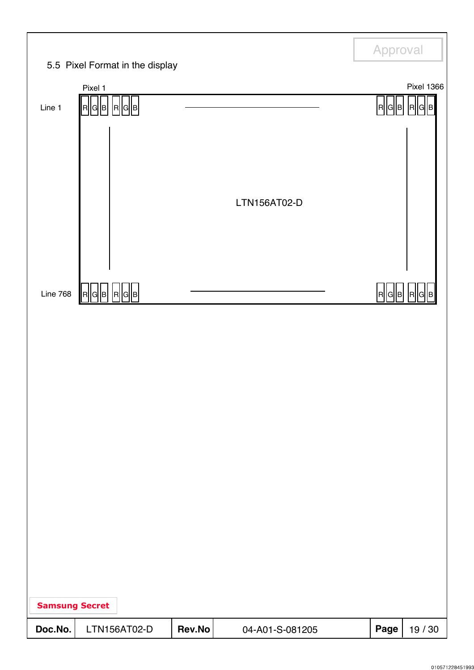|                       | 5.5 Pixel Format in the display |        |                 | Approval |                                  |
|-----------------------|---------------------------------|--------|-----------------|----------|----------------------------------|
|                       |                                 |        |                 |          |                                  |
| Line 1                | Pixel 1<br>R  G  B <br>R G B    |        |                 | R  G  B  | <b>Pixel 1366</b><br>$\mathsf R$ |
|                       |                                 |        | LTN156AT02-D    |          |                                  |
| Line 768              | R  G  B   R  G  B               |        |                 | R  G  B  | R                                |
|                       |                                 |        |                 |          |                                  |
| <b>Samsung Secret</b> |                                 |        |                 |          |                                  |
| Doc.No.               | LTN156AT02-D                    | Rev.No | 04-A01-S-081205 | Page     | 19 / 30                          |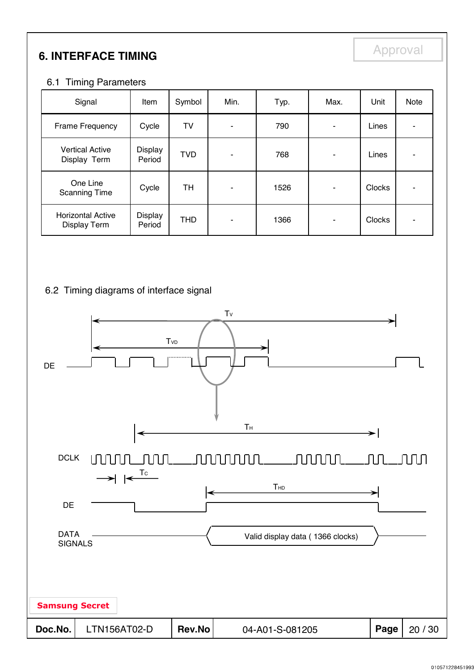## **6. INTERFACE TIMING**

Approval

#### 6.1 Timing Parameters

| Signal                                   | Item              | Symbol     | Min. | Typ. | Max. | Unit          | Note |
|------------------------------------------|-------------------|------------|------|------|------|---------------|------|
| Frame Frequency                          | Cycle             | TV         |      | 790  |      | Lines         |      |
| <b>Vertical Active</b><br>Display Term   | Display<br>Period | <b>TVD</b> | ۰    | 768  | ۰    | Lines         |      |
| One Line<br><b>Scanning Time</b>         | Cycle             | TН         |      | 1526 |      | <b>Clocks</b> |      |
| <b>Horizontal Active</b><br>Display Term | Display<br>Period | <b>THD</b> | -    | 1366 | ٠    | <b>Clocks</b> | -    |

#### 6.2 Timing diagrams of interface signal

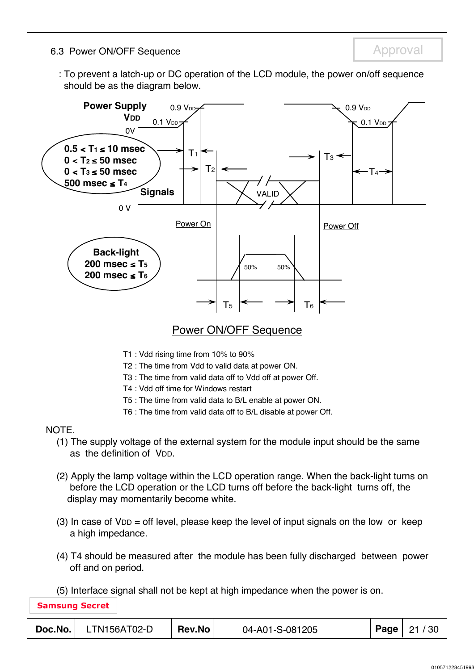6.3 Power ON/OFF Sequence

Approval

: To prevent a latch-up or DC operation of the LCD module, the power on/off sequence should be as the diagram below.

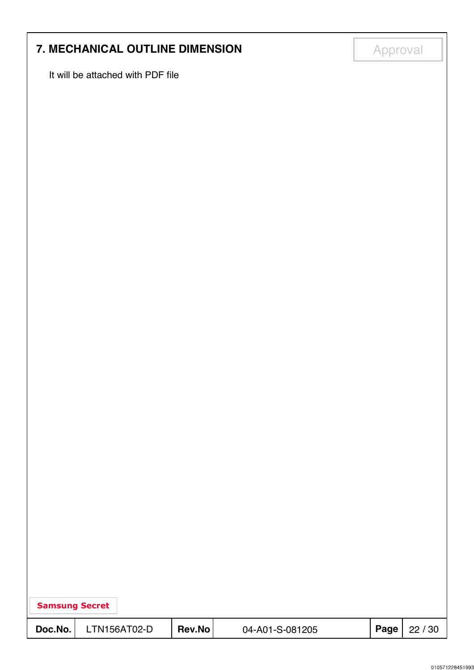## **7. MECHANICAL OUTLINE DIMENSION**

It will be attached with PDF file

Approval

|         | <b>Samsung Secret</b> |               |                 |      |       |  |  |  |  |  |
|---------|-----------------------|---------------|-----------------|------|-------|--|--|--|--|--|
| Doc.No. | LTN156AT02-D          | <b>Rev.No</b> | 04-A01-S-081205 | Page | 22/30 |  |  |  |  |  |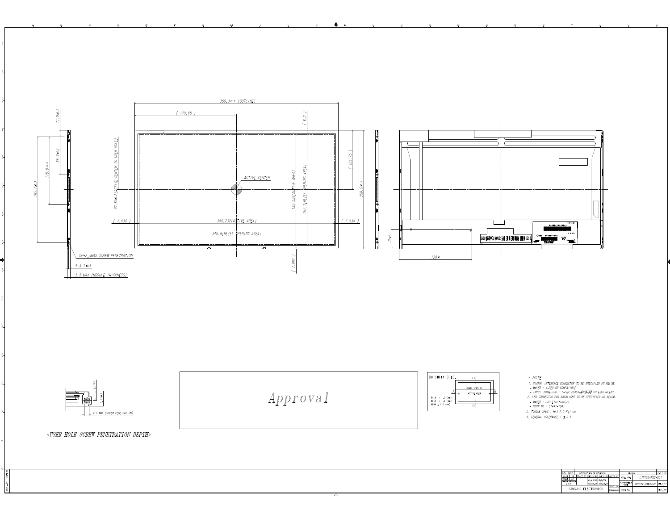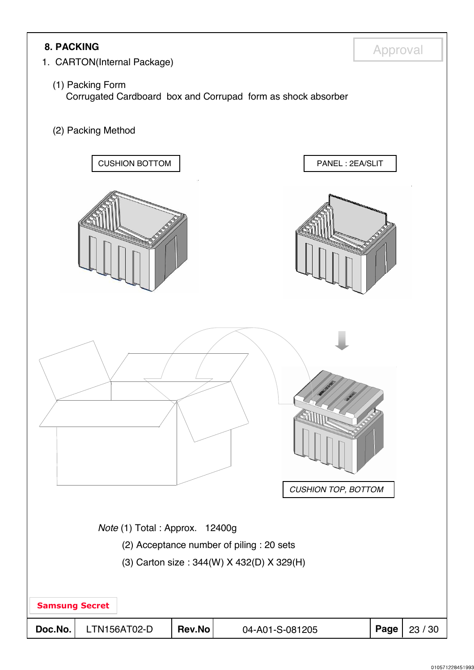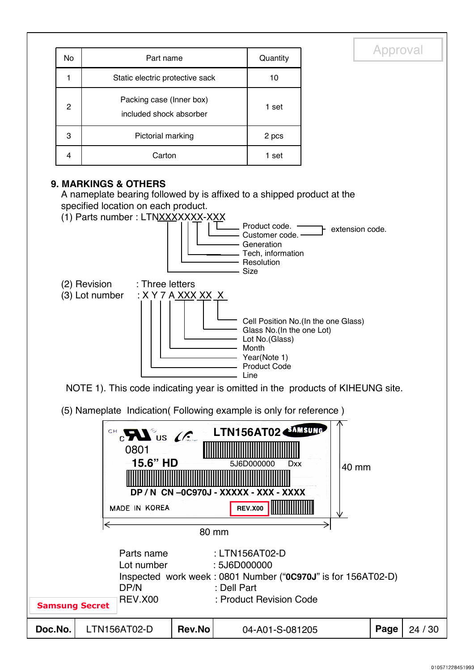|                  |                                                                                                                                                                                                                                                                                                                       |                                                                                                                                                                                                        | Approval                                               |
|------------------|-----------------------------------------------------------------------------------------------------------------------------------------------------------------------------------------------------------------------------------------------------------------------------------------------------------------------|--------------------------------------------------------------------------------------------------------------------------------------------------------------------------------------------------------|--------------------------------------------------------|
| No               | Part name                                                                                                                                                                                                                                                                                                             | Quantity                                                                                                                                                                                               |                                                        |
| 1                | Static electric protective sack                                                                                                                                                                                                                                                                                       | 10                                                                                                                                                                                                     |                                                        |
| $\boldsymbol{2}$ | Packing case (Inner box)<br>included shock absorber                                                                                                                                                                                                                                                                   | 1 set                                                                                                                                                                                                  |                                                        |
| 3                | Pictorial marking                                                                                                                                                                                                                                                                                                     | 2 pcs                                                                                                                                                                                                  |                                                        |
| 4                | Carton                                                                                                                                                                                                                                                                                                                | 1 set                                                                                                                                                                                                  |                                                        |
|                  | A nameplate bearing followed by is affixed to a shipped product at the<br>specified location on each product.<br>(1) Parts number: LTNXXXXXXX-XXX<br>: Three letters<br>(2) Revision<br>(3) Lot number<br><u>: X Y 7 A XXX XX X</u><br>NOTE 1). This code indicating year is omitted in the products of KIHEUNG site. | Product code.<br>Customer code.<br>Generation<br>Tech, information<br>Resolution<br><b>Size</b><br>Glass No.(In the one Lot)<br>Lot No.(Glass)<br>Month<br>Year(Note 1)<br><b>Product Code</b><br>Line | extension code.<br>Cell Position No.(In the one Glass) |
|                  | (5) Nameplate Indication(Following example is only for reference)                                                                                                                                                                                                                                                     |                                                                                                                                                                                                        |                                                        |
|                  | CHCHAIUS $C$<br>0801<br>15.6" HD<br>DP/N CN-0C970J-XXXXX-XXX-XXXX<br>MADE IN KOREA<br>←<br>80 mm                                                                                                                                                                                                                      | LTN156AT02 <mmsung<br>5J6D000000<br/>Dxx<br/><b>REV.X00</b></mmsung<br>                                                                                                                                | 40 mm                                                  |
|                  | Parts name<br>: 5J6D000000<br>Lot number<br>Inspected work week: 0801 Number ("0C970J" is for 156AT02-D)<br>DP/N<br>: Dell Part<br><b>REV.X00</b>                                                                                                                                                                     | : LTN156AT02-D<br>: Product Revision Code                                                                                                                                                              |                                                        |

| HEV.X00<br><b>Samsung Secret</b> |              |        | : Product Revision Code |                       |
|----------------------------------|--------------|--------|-------------------------|-----------------------|
| Doc.No.                          | LTN156AT02-D | Rev.No | 04-A01-S-081205         | <b>Page</b>   24 / 30 |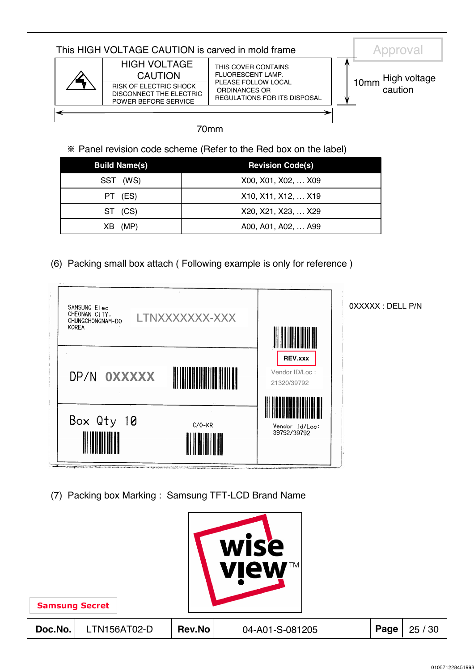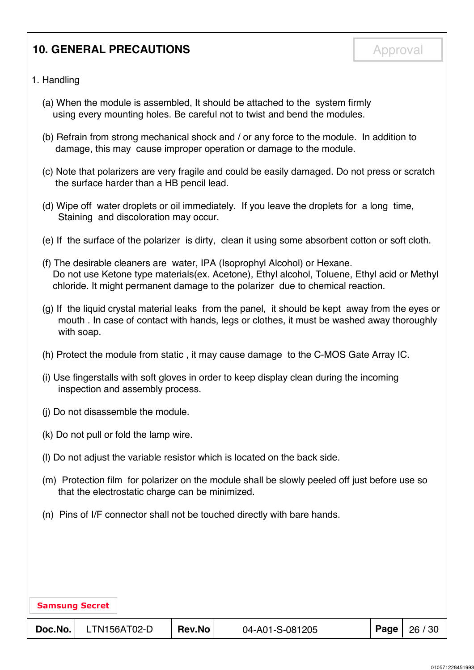## **10. GENERAL PRECAUTIONS**

#### 1. Handling

- (a) When the module is assembled, It should be attached to the system firmly using every mounting holes. Be careful not to twist and bend the modules.
- (b) Refrain from strong mechanical shock and / or any force to the module. In addition to damage, this may cause improper operation or damage to the module.
- (c) Note that polarizers are very fragile and could be easily damaged. Do not press or scratch the surface harder than a HB pencil lead.
- (d) Wipe off water droplets or oil immediately. If you leave the droplets for a long time, Staining and discoloration may occur.
- (e) If the surface of the polarizer is dirty, clean it using some absorbent cotton or soft cloth.
- (f) The desirable cleaners are water, IPA (Isoprophyl Alcohol) or Hexane. Do not use Ketone type materials(ex. Acetone), Ethyl alcohol, Toluene, Ethyl acid or Methyl chloride. It might permanent damage to the polarizer due to chemical reaction.
- (g) If the liquid crystal material leaks from the panel, it should be kept away from the eyes or mouth . In case of contact with hands, legs or clothes, it must be washed away thoroughly with soap.
- (h) Protect the module from static , it may cause damage to the C-MOS Gate Array IC.
- (i) Use fingerstalls with soft gloves in order to keep display clean during the incoming inspection and assembly process.
- (j) Do not disassemble the module.
- (k) Do not pull or fold the lamp wire.
- (l) Do not adjust the variable resistor which is located on the back side.
- (m) Protection film for polarizer on the module shall be slowly peeled off just before use so that the electrostatic charge can be minimized.
- (n) Pins of I/F connector shall not be touched directly with bare hands.

| <b>Samsung Secret</b> |              |        |                 |      |       |
|-----------------------|--------------|--------|-----------------|------|-------|
| Doc.No.               | LTN156AT02-D | Rev.No | 04-A01-S-081205 | Page | 26/30 |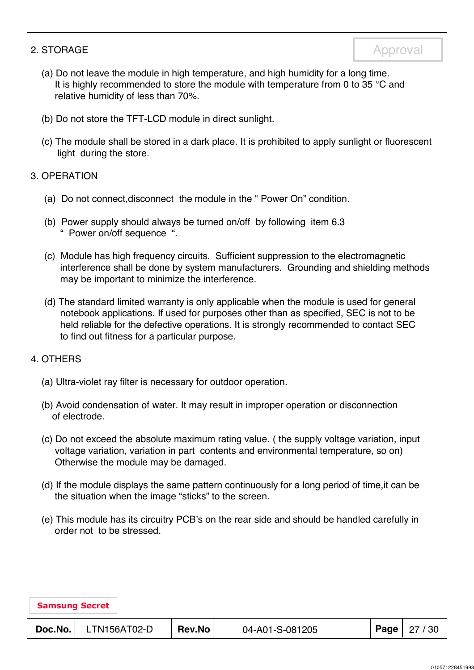#### 2. STORAGE

- (a) Do not leave the module in high temperature, and high humidity for a long time. It is highly recommended to store the module with temperature from 0 to 35  $^{\circ}$ C and relative humidity of less than 70%.
- (b) Do not store the TFT-LCD module in direct sunlight.
- (c) The module shall be stored in a dark place. It is prohibited to apply sunlight or fluorescent light during the store.

#### 3. OPERATION

- (a) Do not connect,disconnect the module in the " Power On" condition.
- (b) Power supply should always be turned on/off by following item 6.3 " Power on/off sequence ".
- (c) Module has high frequency circuits. Sufficient suppression to the electromagnetic interference shall be done by system manufacturers. Grounding and shielding methods may be important to minimize the interference.
- (d) The standard limited warranty is only applicable when the module is used for general notebook applications. If used for purposes other than as specified, SEC is not to be held reliable for the defective operations. It is strongly recommended to contact SEC to find out fitness for a particular purpose.

#### 4. OTHERS

- (a) Ultra-violet ray filter is necessary for outdoor operation.
- (b) Avoid condensation of water. It may result in improper operation or disconnection of electrode.
- (c) Do not exceed the absolute maximum rating value. ( the supply voltage variation, input voltage variation, variation in part contents and environmental temperature, so on) Otherwise the module may be damaged.
- (d) If the module displays the same pattern continuously for a long period of time,it can be the situation when the image "sticks" to the screen.
- (e) This module has its circuitry PCB's on the rear side and should be handled carefully in order not to be stressed.

| <b>Samsung Secret</b> |              |               |                 |  |                       |  |  |  |
|-----------------------|--------------|---------------|-----------------|--|-----------------------|--|--|--|
| Doc.No.               | LTN156AT02-D | <b>Rev.No</b> | 04-A01-S-081205 |  | <b>Page</b>   27 / 30 |  |  |  |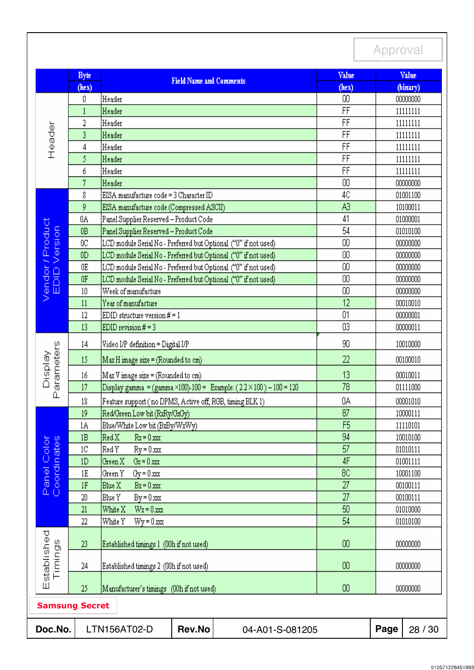#### Approval Value Value **Byte Field Name and Comments**  $(hex)$ (binary)  $(hex)$ 0 Header  $00\,$ 00000000 FF  $\mathbf{1}$ Header 11111111 FF  $\overline{2}$ Header 11111111 Header  $\overline{FF}$  $\overline{3}$ Header 11111111  $\overline{\mathsf{FF}}$  $\overline{4}$ Header 11111111 5 Header FF 11111111 6 Header FF 11111111  $\overline{7}$ 00 Header 00000000 8 EISA manufacture code = 3 Character ID 4C 01001100 9 A3 EISA manufacture code (Compressed ASCII) 10100011 41 0A Panel Supplier Reserved - Product Code 01000001 Product EDID Version  $0B$ Panel Supplier Reserved - Product Code 54 01010100 00  $0<sup>C</sup>$ LCD module Serial No - Preferred but Optional ("0" if not used) 00000000  $00\,$  $0<sub>D</sub>$ LCD module Serial No - Preferred but Optional ("0" if not used) 00000000 Vendor/ [LCD module Serial No - Preferred but Optional ("0" if not used) 00 00000000  $0E$ LCD module Serial No - Preferred but Optional ("0" if not used)  $00\,$  $0F$ 00000000  $10$ Week of manufacture 00 00000000  $12$  $11$ Year of manufacture 00010010 01 12 EDID structure version  $# = 1$ 00000001  $\overline{03}$  $13$ EDID revision  $# = 3$ 00000011 14 Video I/P definition = Digital I/P 90 10010000 Parameters Display 15 Max H image size = (Rounded to cm) 22 00100010 13 16 Max V image size = (Rounded to cm) 00010011 17  $Display gamma = (gamma \times 100) - 100 = Example: (2.2 \times 100) - 100 = 120$ 78 01111000 0A 18 Feature support (no DPMS, Active off, RGB, timing BLK 1) 00001010  $19$ Red/Green Low bit (RxRy/GxGy) 87 10000111 F<sub>5</sub>  $1A$ Blue/White Low bit (BxBy/WxWy) 11110101 94  $Red X$  $Rx = 0.xxx$ 10010100  $1B$ Panel Color<br>Coordinates 57  $1<sup>C</sup>$ |Red Y  $Ry = 0.xxx$ 01010111 4F  $1D$ Green X  $Gx = 0.xxx$ 01001111 1E Green Y  $Gy = 0.xxx$ 8C 10001100  $\overline{27}$  $1F$ Blue X  $Bx = 0.xxx$ 00100111 27 20 Blue Y  $By = 0.xxx$ 00100111  $\overline{50}$ 21 White X  $Wx = 0.xxx$ 01010000  $22$ White Y  $Wy = 0.xxx$ 54 01010100 Established Timings 23 Established timings 1 (00h if not used)  $00\,$ 00000000 24 Established timings 2 (00h if not used)  $00\,$ 00000000  $00$ 25 Manufacturer's timings (00h if not used) 00000000 Samsung Secret**Doc.No.** LTN156AT02-D **Rev.No** 04-A01-S-081205 **Page** 28 / 30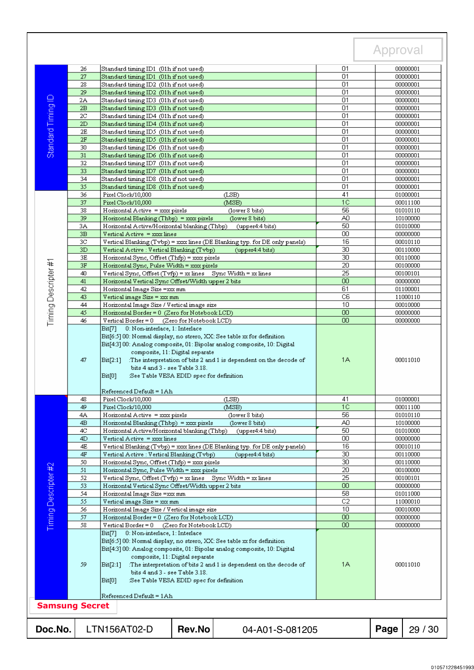|                       |                |                                                                                                                                                                                                                                                                                                                                                                                                            |                                                                            |                       | Approval             |                      |  |
|-----------------------|----------------|------------------------------------------------------------------------------------------------------------------------------------------------------------------------------------------------------------------------------------------------------------------------------------------------------------------------------------------------------------------------------------------------------------|----------------------------------------------------------------------------|-----------------------|----------------------|----------------------|--|
|                       | 26             | Standard timing ID1 (01h if not used)                                                                                                                                                                                                                                                                                                                                                                      |                                                                            | 01                    |                      | 00000001             |  |
|                       | 27             | Standard timing ID1 (01h if not used)                                                                                                                                                                                                                                                                                                                                                                      |                                                                            | 01                    | 00000001             |                      |  |
|                       | 28             | Standard timing ID2 (01h if not used)                                                                                                                                                                                                                                                                                                                                                                      | 01                                                                         |                       | 00000001             |                      |  |
|                       | 29             | Standard timing ID2 (01h if not used)                                                                                                                                                                                                                                                                                                                                                                      |                                                                            | 01                    |                      | 00000001             |  |
| Standard Timing ID    | 2A<br>2B       | Standard timing ID3 (01h if not used)<br>Standard timing ID3 (01h if not used)                                                                                                                                                                                                                                                                                                                             |                                                                            | 01<br>01              |                      | 00000001<br>00000001 |  |
|                       | 2C             | Standard timing ID4 (01h if not used)                                                                                                                                                                                                                                                                                                                                                                      |                                                                            | 01                    |                      | 00000001             |  |
|                       | 2D             | Standard timing ID4 (01h if not used)                                                                                                                                                                                                                                                                                                                                                                      |                                                                            | 01                    |                      | 00000001             |  |
|                       | 2E             | Standard timing ID5 (01h if not used)                                                                                                                                                                                                                                                                                                                                                                      |                                                                            | 01                    |                      | 00000001             |  |
|                       | 2F             | Standard timing ID5 (01h if not used)                                                                                                                                                                                                                                                                                                                                                                      |                                                                            | 01                    |                      | 00000001             |  |
|                       | 30             | Standard timing ID6 (01h if not used)                                                                                                                                                                                                                                                                                                                                                                      |                                                                            | 01                    |                      | 00000001             |  |
|                       | 31             | Standard timing ID6 (01h if not used)                                                                                                                                                                                                                                                                                                                                                                      |                                                                            | 01                    |                      | 00000001             |  |
|                       | 32             | Standard timing ID7 (01h if not used)                                                                                                                                                                                                                                                                                                                                                                      | 01<br>01                                                                   |                       | 00000001             |                      |  |
|                       | 33<br>34       | Standard timing ID7 (01h if not used)<br>Standard timing ID8 (01h if not used)                                                                                                                                                                                                                                                                                                                             | 01                                                                         |                       | 00000001<br>00000001 |                      |  |
|                       | 35             | Standard timing ID8 (01h if not used)                                                                                                                                                                                                                                                                                                                                                                      |                                                                            | 01                    |                      | 00000001             |  |
|                       | 36             | Pixel Clock/10,000                                                                                                                                                                                                                                                                                                                                                                                         | 41                                                                         |                       | 01000001             |                      |  |
|                       | 37             | Pixel Clock/10,000                                                                                                                                                                                                                                                                                                                                                                                         | (LSB)<br>1 <sup>C</sup><br>(MSB)                                           |                       |                      |                      |  |
|                       | 38             | Horizontal Active = xxx pixels                                                                                                                                                                                                                                                                                                                                                                             | (lower 8 bits)                                                             | 56                    | 00011100<br>01010110 |                      |  |
|                       | 39             | Horizontal Blanking (Thbp) = $x\alpha x$ pixels                                                                                                                                                                                                                                                                                                                                                            | (lower 8 bits)                                                             | A0                    | 10100000             |                      |  |
|                       | 3A             | Horizontal Active/Horizontal blanking (Thbp)                                                                                                                                                                                                                                                                                                                                                               | (upper4:4 bits)                                                            | 50                    | 01010000             |                      |  |
|                       | 3B             | Vertical Active = xxx lines                                                                                                                                                                                                                                                                                                                                                                                |                                                                            | 00                    | 00000000             |                      |  |
|                       | 3C             |                                                                                                                                                                                                                                                                                                                                                                                                            | Vertical Blanking (Tvbp) = xxx lines (DE Blanking typ. for DE only panels) | 16                    | 00010110             |                      |  |
|                       | 3D<br>3E       | Vertical Active: Vertical Blanking (Tvbp)<br>Horizontal Sync, Offset (Thfp) = xxx pixels                                                                                                                                                                                                                                                                                                                   | (upper4:4 bits)                                                            | 30<br>$\overline{30}$ | 00110000<br>00110000 |                      |  |
|                       | 3F             | Horizontal Sync, Pulse Width = xxx pixels                                                                                                                                                                                                                                                                                                                                                                  |                                                                            | $\overline{20}$       |                      | 00100000             |  |
|                       | 40             | Vertical Sync, Offset (Tvfp) = xx lines Sync Width = xx lines                                                                                                                                                                                                                                                                                                                                              |                                                                            | 25                    |                      | 00100101             |  |
|                       | 41             | Horizontal Vertical Sync Offset/Width upper 2 bits                                                                                                                                                                                                                                                                                                                                                         |                                                                            | 00                    |                      | 00000000             |  |
| Timing Descripter #1  | 42             | Horizontal Image Size =xxx mm                                                                                                                                                                                                                                                                                                                                                                              |                                                                            | 61                    |                      | 01100001             |  |
|                       | 43             | Vertical image Size = xx mm                                                                                                                                                                                                                                                                                                                                                                                |                                                                            | C <sub>6</sub>        |                      | 11000110             |  |
|                       | 44             | Horizontal Image Size / Vertical image size                                                                                                                                                                                                                                                                                                                                                                |                                                                            | 10                    | 00010000             |                      |  |
|                       | 45<br>46       | Horizontal Border = 0 (Zero for Notebook LCD)<br>Vertical Border = $0$<br>(Zero for Notebook LCD)                                                                                                                                                                                                                                                                                                          |                                                                            | 00<br>00              | 00000000<br>00000000 |                      |  |
|                       | 47             | Bit[4:3] 00: Analog composite, 01: Bipolar analog composite, 10: Digital<br>composite, 11: Digital separate<br>:The interpretation of bits 2 and 1 is dependent on the decode of<br>Bit[2:1]<br>bits 4 and 3 - see Table 3.18.<br>Bit[0]<br>:See Table VESA EDID spec for definition                                                                                                                       | 1A                                                                         | 00011010              |                      |                      |  |
|                       |                | Referenced Default = 1Ah                                                                                                                                                                                                                                                                                                                                                                                   |                                                                            |                       |                      |                      |  |
|                       | 48             | Pixe1 Clock/10,000                                                                                                                                                                                                                                                                                                                                                                                         | 41                                                                         | 01000001              |                      |                      |  |
|                       | 49             | Pixel Clock/10,000                                                                                                                                                                                                                                                                                                                                                                                         | (MSB)                                                                      | 1C                    |                      | 00011100             |  |
|                       | 4Α             | Horizontal Active = xxx pixels                                                                                                                                                                                                                                                                                                                                                                             | (lower 8 bits)                                                             | 56                    | 01010110             |                      |  |
|                       | 4 <sub>B</sub> | Horizontal Blanking (Thbp) = $x\alpha x$ pixels                                                                                                                                                                                                                                                                                                                                                            | (lower 8 bits)                                                             | A0<br>50              | 10100000<br>01010000 |                      |  |
|                       | 4C<br>4D       | Horizontal Active/Horizontal blanking (Thbp)<br>Vertical Active = xxx lines                                                                                                                                                                                                                                                                                                                                | (upper4:4 bits)                                                            | 00                    |                      | 00000000             |  |
|                       | 4E             |                                                                                                                                                                                                                                                                                                                                                                                                            | Vertical Blanking (Tvbp) = xxx lines (DE Blanking typ. for DE only panels) | 16                    |                      | 00010110             |  |
|                       | 4F             | Vertical Active : Vertical Blanking (Tvbp)                                                                                                                                                                                                                                                                                                                                                                 | (upper4:4 bits)                                                            | 30                    |                      | 00110000             |  |
|                       | 50             | Horizontal Sync, Offset (Thfp) = xxx pixels                                                                                                                                                                                                                                                                                                                                                                |                                                                            | $\overline{30}$       | 00110000             |                      |  |
|                       | 51             | Horizontal Sync, Pulse Width = xxx pixels                                                                                                                                                                                                                                                                                                                                                                  |                                                                            | 20                    |                      | 00100000             |  |
|                       | 52             | Vertical Sync, Offset (Tvfp) = xx lines Sync Width = xx lines                                                                                                                                                                                                                                                                                                                                              |                                                                            | $\overline{25}$       |                      | 00100101             |  |
| Timing Descripter #2  | 53             | Horizontal Vertical Sync Offset/Width upper 2 bits                                                                                                                                                                                                                                                                                                                                                         |                                                                            | 00                    |                      | 00000000             |  |
|                       | 54<br>55       | Horizontal Image Size =xxx mm                                                                                                                                                                                                                                                                                                                                                                              |                                                                            | 58<br>$\overline{C2}$ |                      | 01011000             |  |
|                       | 56             | Vertical image Size = xxx mm<br>Horizontal Image Size / Vertical image size                                                                                                                                                                                                                                                                                                                                |                                                                            | 10                    | 11000010             |                      |  |
|                       | 57             | Horizontal Border = 0 (Zero for Notebook LCD)                                                                                                                                                                                                                                                                                                                                                              | OO.                                                                        | 00010000<br>00000000  |                      |                      |  |
|                       | 58             | Vertical Border = 0 (Zero for Notebook LCD)                                                                                                                                                                                                                                                                                                                                                                | 00                                                                         | 00000000              |                      |                      |  |
|                       | 59             | 0: Non-interlace, 1: Interlace<br>Bit71<br>Bit[6:5] 00: Normal display, no strero, XX: See table xx for definition<br>Bit[4:3] 00: Analog composite, 01: Bipolar analog composite, 10: Digital<br>composite, 11: Digital separate<br>:The interpretation of bits 2 and 1 is dependent on the decode of<br>Bit[2:1]<br>bits 4 and 3 - see Table 3.18.<br>Bit[0]<br>:See Table VESA EDID spec for definition | 1A                                                                         | 00011010              |                      |                      |  |
| <b>Samsung Secret</b> |                | Referenced Default = 1Ah                                                                                                                                                                                                                                                                                                                                                                                   |                                                                            |                       |                      |                      |  |